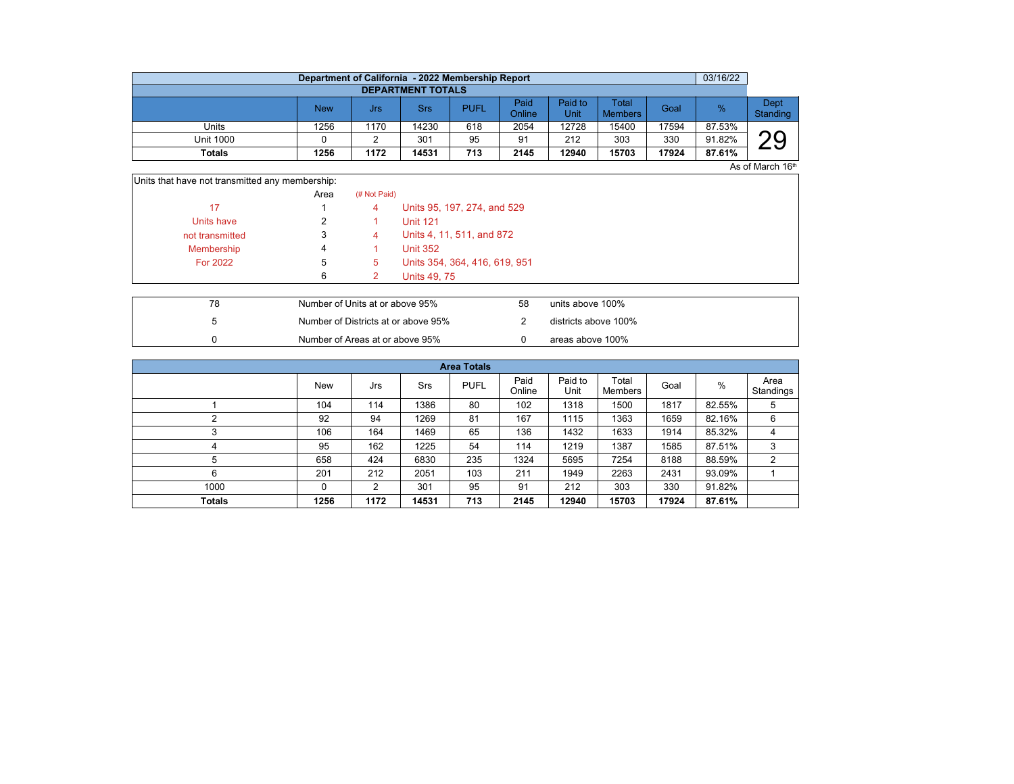|                          | Department of California - 2022 Membership Report |      |       |             |                |                 |                         |       | 03/16/22 |                  |  |  |  |  |
|--------------------------|---------------------------------------------------|------|-------|-------------|----------------|-----------------|-------------------------|-------|----------|------------------|--|--|--|--|
| <b>DEPARTMENT TOTALS</b> |                                                   |      |       |             |                |                 |                         |       |          |                  |  |  |  |  |
|                          | <b>New</b>                                        | Jrs  | Srs   | <b>PUFL</b> | Paid<br>Online | Paid to<br>Unit | Total<br><b>Members</b> | Goal  | $\%$     | Dept<br>Standing |  |  |  |  |
| Units                    | 1256                                              | 1170 | 14230 | 618         | 2054           | 12728           | 15400                   | 17594 | 87.53%   |                  |  |  |  |  |
| <b>Unit 1000</b>         |                                                   |      | 301   | 95          | 91             | 212             | 303                     | 330   | 91.82%   | ⌒⌒               |  |  |  |  |
| <b>Totals</b>            | 1256                                              | 1172 | 14531 | 713         | 2145           | 12940           | 15703                   | 17924 | 87.61%   |                  |  |  |  |  |

 $\overline{A}$ s of March 16<sup>th</sup>

| Units that have not transmitted any membership: |      |              |                               |
|-------------------------------------------------|------|--------------|-------------------------------|
|                                                 | Area | (# Not Paid) |                               |
| 17                                              |      | 4            | Units 95, 197, 274, and 529   |
| Units have                                      |      |              | <b>Unit 121</b>               |
| not transmitted                                 | 3    | 4            | Units 4, 11, 511, and 872     |
| Membership                                      | 4    |              | <b>Unit 352</b>               |
| <b>For 2022</b>                                 | 5    | 5            | Units 354, 364, 416, 619, 951 |
|                                                 | 6    |              | <b>Units 49, 75</b>           |
|                                                 |      |              |                               |

| 78 | Number of Units at or above 95%     | 58 | units above 100%     |
|----|-------------------------------------|----|----------------------|
|    | Number of Districts at or above 95% |    | districts above 100% |
|    | Number of Areas at or above 95%     |    | areas above 100%     |

|               | <b>Area Totals</b> |      |            |             |                |                 |                  |       |        |                   |  |  |  |
|---------------|--------------------|------|------------|-------------|----------------|-----------------|------------------|-------|--------|-------------------|--|--|--|
|               | <b>New</b>         | Jrs  | <b>Srs</b> | <b>PUFL</b> | Paid<br>Online | Paid to<br>Unit | Total<br>Members | Goal  | %      | Area<br>Standings |  |  |  |
|               | 104                | 114  | 1386       | 80          | 102            | 1318            | 1500             | 1817  | 82.55% | 5                 |  |  |  |
|               | 92                 | 94   | 1269       | 81          | 167            | 1115            | 1363             | 1659  | 82.16% | 6                 |  |  |  |
|               | 106                | 164  | 1469       | 65          | 136            | 1432            | 1633             | 1914  | 85.32% | 4                 |  |  |  |
| 4             | 95                 | 162  | 1225       | 54          | 114            | 1219            | 1387             | 1585  | 87.51% | 3                 |  |  |  |
| 5             | 658                | 424  | 6830       | 235         | 1324           | 5695            | 7254             | 8188  | 88.59% | 2                 |  |  |  |
| 6             | 201                | 212  | 2051       | 103         | 211            | 1949            | 2263             | 2431  | 93.09% |                   |  |  |  |
| 1000          | $\Omega$           | 2    | 301        | 95          | 91             | 212             | 303              | 330   | 91.82% |                   |  |  |  |
| <b>Totals</b> | 1256               | 1172 | 14531      | 713         | 2145           | 12940           | 15703            | 17924 | 87.61% |                   |  |  |  |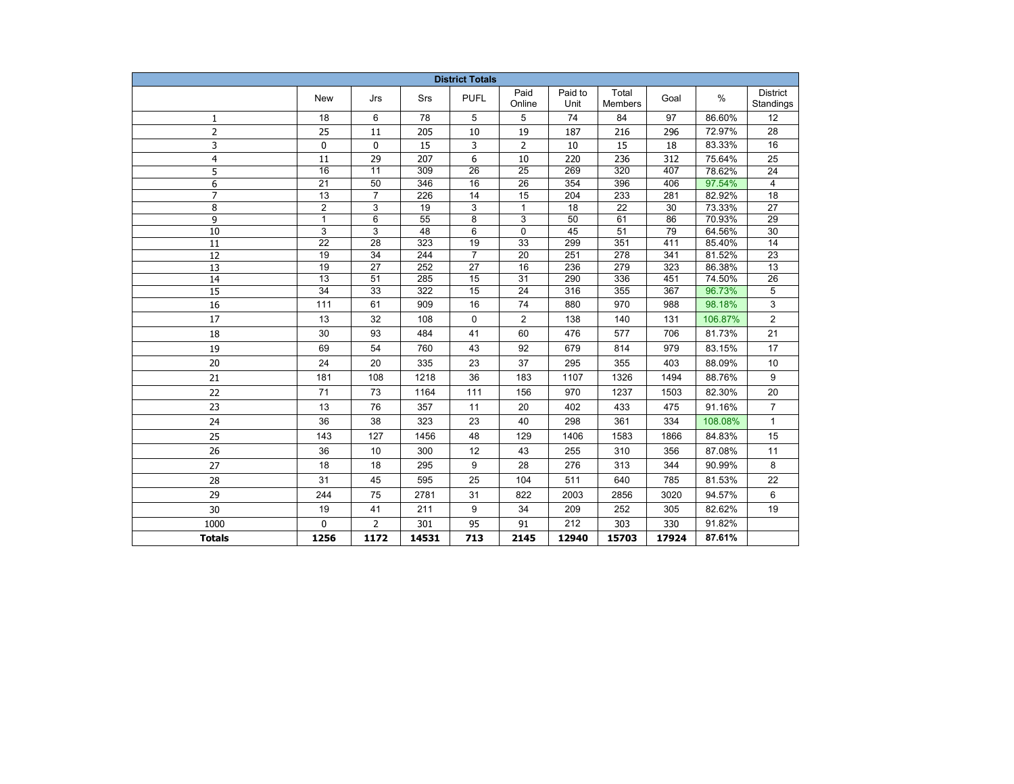| <b>District Totals</b> |                 |                                    |                         |                 |                 |                 |                         |       |         |                              |
|------------------------|-----------------|------------------------------------|-------------------------|-----------------|-----------------|-----------------|-------------------------|-------|---------|------------------------------|
|                        | New             | Jrs                                | Srs                     | <b>PUFL</b>     | Paid<br>Online  | Paid to<br>Unit | Total<br><b>Members</b> | Goal  | $\%$    | <b>District</b><br>Standings |
| 1                      | 18              | 6                                  | 78                      | 5               | 5               | 74              | 84                      | 97    | 86.60%  | 12                           |
| $\overline{2}$         | 25              | 11                                 | 205                     | 10              | 19              | 187             | 216                     | 296   | 72.97%  | 28                           |
| 3                      | 0               | 0                                  | 15                      | 3               | 2               | 10              | 15                      | 18    | 83.33%  | 16                           |
| $\overline{4}$         | 11              | 29                                 | 207                     | 6               | 10              | 220             | 236                     | 312   | 75.64%  | 25                           |
| 5                      | $\overline{16}$ | $\overline{11}$                    | 309                     | $\overline{26}$ | $\overline{25}$ | 269             | $\overline{320}$        | 407   | 78.62%  | 24                           |
| 6                      | $\overline{21}$ | $\overline{50}$                    | 346                     | 16              | 26              | 354             | 396                     | 406   | 97.54%  | 4                            |
| $\overline{7}$         | 13              | $\overline{7}$                     | 226                     | 14              | 15              | 204             | 233                     | 281   | 82.92%  | 18                           |
| 8                      | $\overline{2}$  | 3                                  | 19                      | 3               | $\mathbf{1}$    | 18              | $\overline{22}$         | 30    | 73.33%  | $\overline{27}$              |
| 9                      | $\mathbf{1}$    | 6                                  | 55                      | 8               | 3               | 50              | 61                      | 86    | 70.93%  | 29                           |
| 10                     | 3               | 3                                  | 48                      | 6               | 0               | 45              | 51                      | 79    | 64.56%  | 30                           |
| 11                     | 22              | 28                                 | 323                     | 19              | 33              | 299             | 351                     | 411   | 85.40%  | 14                           |
| 12                     | 19              | 34                                 | 244                     | $\overline{7}$  | 20              | 251             | 278                     | 341   | 81.52%  | 23                           |
| 13                     | 19              | 27                                 | 252                     | 27              | 16              | 236             | 279                     | 323   | 86.38%  | 13                           |
| 14                     | $\overline{13}$ | $\overline{51}$<br>$\overline{33}$ | 285<br>$\overline{322}$ | 15              | $\overline{31}$ | 290             | 336                     | 451   | 74.50%  | 26                           |
| $\overline{15}$        | $\overline{34}$ |                                    |                         | 15              | $\overline{24}$ | 316             | 355                     | 367   | 96.73%  | $\sqrt{5}$                   |
| 16                     | 111             | 61                                 | 909                     | 16              | 74              | 880             | 970                     | 988   | 98.18%  | 3                            |
| 17                     | 13              | 32                                 | 108                     | 0               | $\overline{2}$  | 138             | 140                     | 131   | 106.87% | $\overline{2}$               |
| 18                     | 30              | 93                                 | 484                     | 41              | 60              | 476             | 577                     | 706   | 81.73%  | 21                           |
| 19                     | 69              | 54                                 | 760                     | 43              | 92              | 679             | 814                     | 979   | 83.15%  | 17                           |
| 20                     | 24              | 20                                 | 335                     | 23              | 37              | 295             | 355                     | 403   | 88.09%  | 10                           |
| 21                     | 181             | 108                                | 1218                    | 36              | 183             | 1107            | 1326                    | 1494  | 88.76%  | 9                            |
| 22                     | 71              | 73                                 | 1164                    | 111             | 156             | 970             | 1237                    | 1503  | 82.30%  | 20                           |
| 23                     | 13              | 76                                 | 357                     | 11              | 20              | 402             | 433                     | 475   | 91.16%  | $\overline{7}$               |
| 24                     | 36              | 38                                 | 323                     | 23              | 40              | 298             | 361                     | 334   | 108.08% | $\mathbf{1}$                 |
| 25                     | 143             | 127                                | 1456                    | 48              | 129             | 1406            | 1583                    | 1866  | 84.83%  | 15                           |
| 26                     | 36              | 10                                 | 300                     | 12              | 43              | 255             | 310                     | 356   | 87.08%  | 11                           |
| 27                     | 18              | 18                                 | 295                     | 9               | 28              | 276             | 313                     | 344   | 90.99%  | 8                            |
| 28                     | 31              | 45                                 | 595                     | 25              | 104             | 511             | 640                     | 785   | 81.53%  | 22                           |
| 29                     | 244             | 75                                 | 2781                    | 31              | 822             | 2003            | 2856                    | 3020  | 94.57%  | 6                            |
| 30                     | 19              | 41                                 | 211                     | 9               | 34              | 209             | 252                     | 305   | 82.62%  | 19                           |
| 1000                   | $\Omega$        | $\overline{2}$                     | 301                     | 95              | 91              | 212             | 303                     | 330   | 91.82%  |                              |
| <b>Totals</b>          | 1256            | 1172                               | 14531                   | 713             | 2145            | 12940           | 15703                   | 17924 | 87.61%  |                              |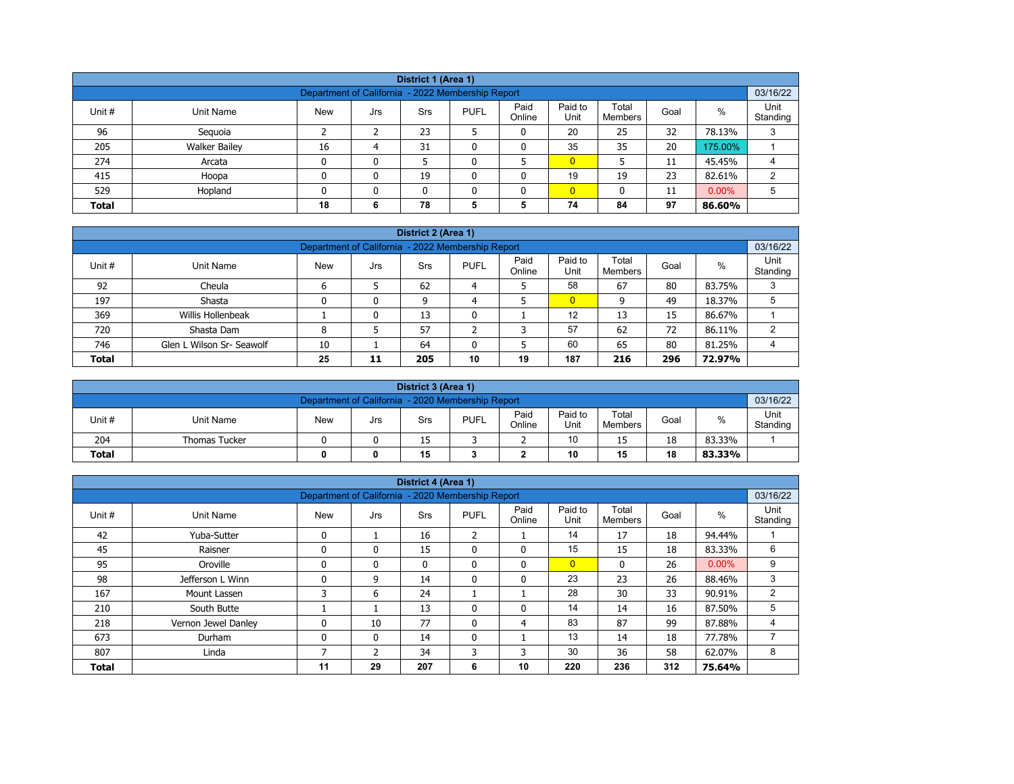| District 1 (Area 1)                                                                                                                                   |                                                                                 |    |   |    |  |   |                |    |    |         |   |  |  |
|-------------------------------------------------------------------------------------------------------------------------------------------------------|---------------------------------------------------------------------------------|----|---|----|--|---|----------------|----|----|---------|---|--|--|
| 03/16/22<br>Department of California - 2022 Membership Report                                                                                         |                                                                                 |    |   |    |  |   |                |    |    |         |   |  |  |
| Paid<br>Paid to<br>Total<br>$\%$<br>Unit #<br><b>PUFL</b><br>Goal<br>Unit Name<br><b>New</b><br><b>Srs</b><br>Jrs<br>Online<br>Unit<br><b>Members</b> |                                                                                 |    |   |    |  |   |                |    |    |         |   |  |  |
| 96                                                                                                                                                    | Seguoia                                                                         |    |   | 23 |  | 0 | 20             | 25 | 32 | 78.13%  | 3 |  |  |
| 205                                                                                                                                                   | <b>Walker Bailey</b>                                                            | 16 | 4 | 31 |  | 0 | 35             | 35 | 20 | 175.00% |   |  |  |
| 274                                                                                                                                                   | Arcata                                                                          | 0  | 0 |    |  |   | $\overline{0}$ |    | 11 | 45.45%  | 4 |  |  |
| 415                                                                                                                                                   | Hoopa                                                                           | 0  | 0 | 19 |  | 0 | 19             | 19 | 23 | 82.61%  | 2 |  |  |
| 529                                                                                                                                                   | $\overline{0}$<br>$0.00\%$<br>Hopland<br>0<br>5<br>$\mathbf{0}$<br>11<br>n<br>0 |    |   |    |  |   |                |    |    |         |   |  |  |
| <b>Total</b>                                                                                                                                          | 78<br>74<br>97<br>5<br>18<br>84<br>5<br>86.60%<br>6                             |    |   |    |  |   |                |    |    |         |   |  |  |

| District 2 (Area 1) |                                                                                                                                                          |   |   |    |   |   |                |    |    |        |   |  |  |  |
|---------------------|----------------------------------------------------------------------------------------------------------------------------------------------------------|---|---|----|---|---|----------------|----|----|--------|---|--|--|--|
|                     | 03/16/22<br>Department of California - 2022 Membership Report                                                                                            |   |   |    |   |   |                |    |    |        |   |  |  |  |
| Unit #              | Paid<br>Paid to<br>Unit<br>Total<br>$\%$<br><b>PUFL</b><br><b>New</b><br>Unit Name<br><b>Srs</b><br>Goal<br>Jrs<br>Online<br>Unit<br>Standing<br>Members |   |   |    |   |   |                |    |    |        |   |  |  |  |
| 92                  | Cheula                                                                                                                                                   |   |   | 62 | 4 |   | 58             | 67 | 80 | 83.75% | 3 |  |  |  |
| 197                 | Shasta                                                                                                                                                   |   | 0 | 9  | 4 |   | $\overline{0}$ | 9  | 49 | 18.37% |   |  |  |  |
| 369                 | Willis Hollenbeak                                                                                                                                        |   | 0 | 13 | 0 |   | 12             | 13 | 15 | 86.67% |   |  |  |  |
| 720                 | Shasta Dam                                                                                                                                               | 8 |   | 57 |   | ว | 57             | 62 | 72 | 86.11% | ◠ |  |  |  |
| 746                 | 60<br>80<br>65<br>Glen L Wilson Sr- Seawolf<br>64<br>81.25%<br>10<br>4                                                                                   |   |   |    |   |   |                |    |    |        |   |  |  |  |
| <b>Total</b>        | 187<br>10<br>25<br>296<br>19<br>205<br>72.97%<br>11<br>216                                                                                               |   |   |    |   |   |                |    |    |        |   |  |  |  |

|                                                               | District 3 (Area 1)                                                                                                        |  |  |    |  |  |    |    |    |        |                  |  |  |
|---------------------------------------------------------------|----------------------------------------------------------------------------------------------------------------------------|--|--|----|--|--|----|----|----|--------|------------------|--|--|
| 03/16/22<br>Department of California - 2020 Membership Report |                                                                                                                            |  |  |    |  |  |    |    |    |        |                  |  |  |
| Unit #                                                        | Paid<br>Paid to<br>Total<br>%<br><b>PUFL</b><br><b>New</b><br>Unit Name<br>Goal<br>Srs<br>Jrs<br>Online<br>Unit<br>Members |  |  |    |  |  |    |    |    |        | Unit<br>Standing |  |  |
| 204                                                           | <b>Thomas Tucker</b>                                                                                                       |  |  | 15 |  |  | 10 | 15 | 18 | 83.33% |                  |  |  |
| <b>Total</b>                                                  | 15<br>10<br>18<br>15<br>83.33%<br>0                                                                                        |  |  |    |  |  |    |    |    |        |                  |  |  |

|              |                     |                                                   |              | District 4 (Area 1) |                |                |                 |                  |      |          |                  |
|--------------|---------------------|---------------------------------------------------|--------------|---------------------|----------------|----------------|-----------------|------------------|------|----------|------------------|
|              |                     | Department of California - 2020 Membership Report |              |                     |                |                |                 |                  |      |          | 03/16/22         |
| Unit #       | <b>Unit Name</b>    | <b>New</b>                                        | Jrs          | Srs                 | <b>PUFL</b>    | Paid<br>Online | Paid to<br>Unit | Total<br>Members | Goal | $\%$     | Unit<br>Standing |
| 42           | Yuba-Sutter         | $\mathbf{0}$                                      |              | 16                  | $\overline{2}$ |                | 14              | 17               | 18   | 94.44%   |                  |
| 45           | Raisner             | $\mathbf{0}$                                      | 0            | 15                  | 0              | $\mathbf{0}$   | 15              | 15               | 18   | 83.33%   | 6                |
| 95           | Oroville            | $\Omega$                                          | 0            | $\mathbf{0}$        | $\mathbf{0}$   | $\mathbf{0}$   | $\overline{0}$  | $\mathbf{0}$     | 26   | $0.00\%$ | 9                |
| 98           | Jefferson L Winn    | $\Omega$                                          | 9            | 14                  | 0              | 0              | 23              | 23               | 26   | 88.46%   | 3                |
| 167          | Mount Lassen        | 3                                                 | 6            | 24                  |                |                | 28              | 30               | 33   | 90.91%   | $\overline{2}$   |
| 210          | South Butte         |                                                   |              | 13                  | $\mathbf{0}$   | 0              | 14              | 14               | 16   | 87.50%   | 5                |
| 218          | Vernon Jewel Danley |                                                   | 10           | 77                  | $\Omega$       | 4              | 83              | 87               | 99   | 87.88%   | 4                |
| 673          | Durham              | $\mathbf{0}$                                      | $\mathbf{0}$ | 14                  | $\mathbf{0}$   |                | 13              | 14               | 18   | 77.78%   | 7                |
| 807          | Linda               |                                                   | 2            | 34                  | 3              | 3              | 30              | 36               | 58   | 62.07%   | 8                |
| <b>Total</b> |                     | 11                                                | 29           | 207                 | 6              | 10             | 220             | 236              | 312  | 75.64%   |                  |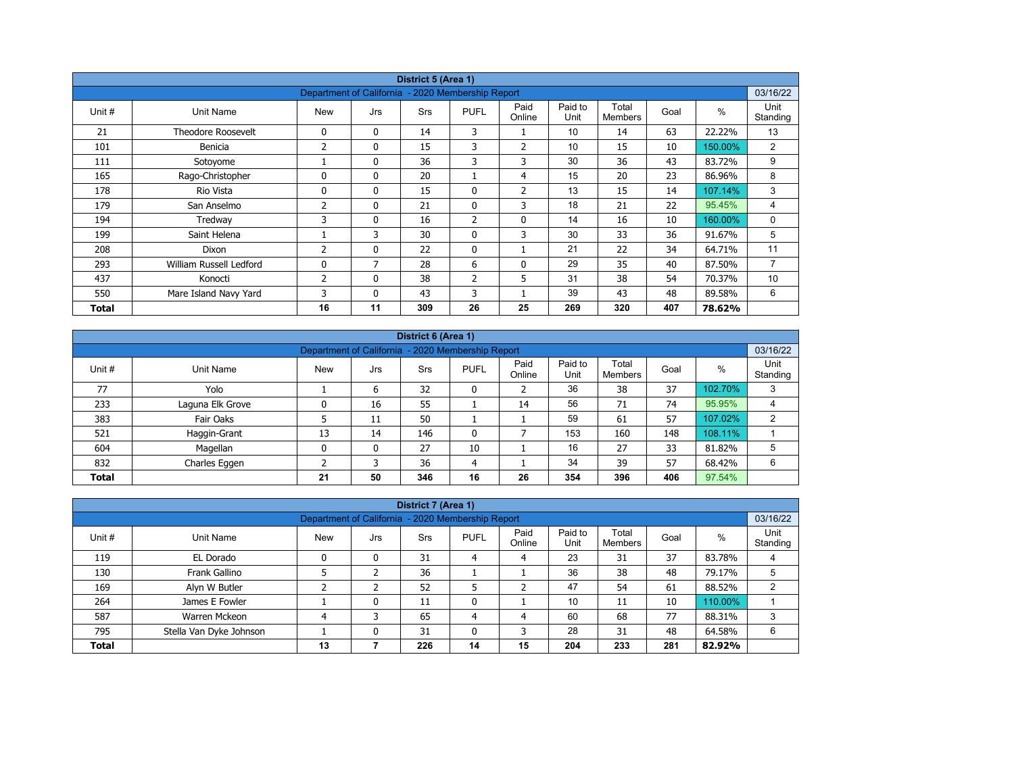| District 5 (Area 1) |                           |                                                   |              |            |                |                |                 |                         |      |         |                  |  |
|---------------------|---------------------------|---------------------------------------------------|--------------|------------|----------------|----------------|-----------------|-------------------------|------|---------|------------------|--|
|                     |                           | Department of California - 2020 Membership Report |              |            |                |                |                 |                         |      |         | 03/16/22         |  |
| Unit #              | Unit Name                 | <b>New</b>                                        | Jrs          | <b>Srs</b> | <b>PUFL</b>    | Paid<br>Online | Paid to<br>Unit | Total<br><b>Members</b> | Goal | $\%$    | Unit<br>Standing |  |
| 21                  | <b>Theodore Roosevelt</b> | 0                                                 | $\mathbf{0}$ | 14         | 3              |                | 10              | 14                      | 63   | 22.22%  | 13               |  |
| 101                 | Benicia                   | 2                                                 | 0            | 15         | 3              | $\overline{2}$ | 10              | 15                      | 10   | 150.00% | $\overline{2}$   |  |
| 111                 | Sotoyome                  |                                                   | $\mathbf{0}$ | 36         | 3              | 3              | 30              | 36                      | 43   | 83.72%  | 9                |  |
| 165                 | Rago-Christopher          | $\Omega$                                          | $\mathbf{0}$ | 20         |                | $\overline{4}$ | 15              | 20                      | 23   | 86.96%  | 8                |  |
| 178                 | Rio Vista                 | 0                                                 | 0            | 15         | 0              | $\overline{2}$ | 13              | 15                      | 14   | 107.14% | 3                |  |
| 179                 | San Anselmo               | 2                                                 | $\mathbf{0}$ | 21         | $\mathbf{0}$   | 3              | 18              | 21                      | 22   | 95.45%  | 4                |  |
| 194                 | Tredway                   | 3                                                 | 0            | 16         | $\overline{2}$ | $\mathbf 0$    | 14              | 16                      | 10   | 160.00% | 0                |  |
| 199                 | Saint Helena              |                                                   | 3            | 30         | $\mathbf{0}$   | 3              | 30              | 33                      | 36   | 91.67%  | 5                |  |
| 208                 | Dixon                     | $\overline{2}$                                    | $\mathbf{0}$ | 22         | $\mathbf{0}$   |                | 21              | 22                      | 34   | 64.71%  | 11               |  |
| 293                 | William Russell Ledford   | $\mathbf{0}$                                      | 7            | 28         | 6              | $\mathbf{0}$   | 29              | 35                      | 40   | 87.50%  | $\overline{7}$   |  |
| 437                 | Konocti                   | 2                                                 | $\mathbf{0}$ | 38         | $\overline{2}$ | 5              | 31              | 38                      | 54   | 70.37%  | 10               |  |
| 550                 | Mare Island Navy Yard     | 3                                                 | 0            | 43         | 3              |                | 39              | 43                      | 48   | 89.58%  | 6                |  |
| Total               |                           | 16                                                | 11           | 309        | 26             | 25             | 269             | 320                     | 407  | 78.62%  |                  |  |

|              | District 6 (Area 1)                                                                                                                                          |    |    |     |              |    |     |     |     |         |   |  |  |  |
|--------------|--------------------------------------------------------------------------------------------------------------------------------------------------------------|----|----|-----|--------------|----|-----|-----|-----|---------|---|--|--|--|
|              | 03/16/22<br>Department of California - 2020 Membership Report                                                                                                |    |    |     |              |    |     |     |     |         |   |  |  |  |
| Unit #       | Paid<br>Paid to<br>Total<br>Unit<br>%<br><b>PUFL</b><br>Goal<br><b>Srs</b><br>Unit Name<br><b>New</b><br>Jrs<br>Unit<br>Standing<br>Online<br><b>Members</b> |    |    |     |              |    |     |     |     |         |   |  |  |  |
| 77           | Yolo                                                                                                                                                         |    | 6  | 32  | 0            |    | 36  | 38  | 37  | 102.70% | 3 |  |  |  |
| 233          | Laguna Elk Grove                                                                                                                                             |    | 16 | 55  |              | 14 | 56  | 71  | 74  | 95.95%  | 4 |  |  |  |
| 383          | Fair Oaks                                                                                                                                                    |    | 11 | 50  |              |    | 59  | 61  | 57  | 107.02% | 2 |  |  |  |
| 521          | Haggin-Grant                                                                                                                                                 | 13 | 14 | 146 | $\mathbf{0}$ |    | 153 | 160 | 148 | 108.11% |   |  |  |  |
| 604          | Magellan                                                                                                                                                     | 0  | 0  | 27  | 10           |    | 16  | 27  | 33  | 81.82%  | 5 |  |  |  |
| 832          | Charles Eggen                                                                                                                                                |    | 3  | 36  | 4            |    | 34  | 39  | 57  | 68.42%  | 6 |  |  |  |
| <b>Total</b> |                                                                                                                                                              | 21 | 50 | 346 | 16           | 26 | 354 | 396 | 406 | 97.54%  |   |  |  |  |

|                                                                                                                                                             |                                                                               |                                                   |   | District 7 (Area 1) |    |    |     |     |     |         |          |  |
|-------------------------------------------------------------------------------------------------------------------------------------------------------------|-------------------------------------------------------------------------------|---------------------------------------------------|---|---------------------|----|----|-----|-----|-----|---------|----------|--|
|                                                                                                                                                             |                                                                               | Department of California - 2020 Membership Report |   |                     |    |    |     |     |     |         | 03/16/22 |  |
| Unit<br>Paid<br>Paid to<br>Total<br>$\%$<br>Unit #<br><b>New</b><br>Unit Name<br><b>PUFL</b><br>Goal<br>Srs<br>Jrs<br>Online<br>Unit<br>Standing<br>Members |                                                                               |                                                   |   |                     |    |    |     |     |     |         |          |  |
| 119                                                                                                                                                         | EL Dorado                                                                     |                                                   | 0 | 31                  | 4  | 4  | 23  | 31  | 37  | 83.78%  | 4        |  |
| 130                                                                                                                                                         | Frank Gallino                                                                 |                                                   |   | 36                  |    |    | 36  | 38  | 48  | 79.17%  |          |  |
| 169                                                                                                                                                         | Alyn W Butler                                                                 |                                                   |   | 52                  |    |    | 47  | 54  | 61  | 88.52%  |          |  |
| 264                                                                                                                                                         | James E Fowler                                                                |                                                   | 0 | 11                  | 0  |    | 10  | 11  | 10  | 110.00% |          |  |
| 587                                                                                                                                                         | Warren Mckeon                                                                 |                                                   | 3 | 65                  | 4  | 4  | 60  | 68  | 77  | 88.31%  | 3        |  |
| 795                                                                                                                                                         | 28<br>48<br>Stella Van Dyke Johnson<br>31<br>31<br>0<br>0<br>3<br>64.58%<br>6 |                                                   |   |                     |    |    |     |     |     |         |          |  |
| <b>Total</b>                                                                                                                                                |                                                                               | 13                                                |   | 226                 | 14 | 15 | 204 | 233 | 281 | 82.92%  |          |  |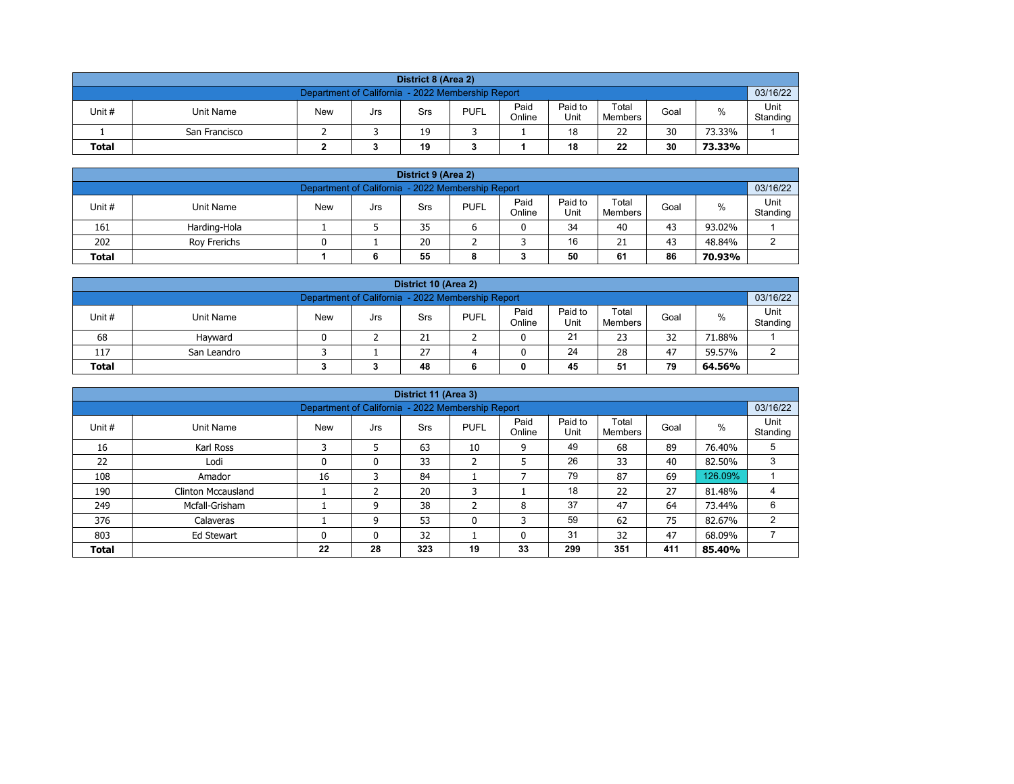| District 8 (Area 2) |                                                                                                                            |  |  |  |  |  |  |  |  |  |  |  |  |  |
|---------------------|----------------------------------------------------------------------------------------------------------------------------|--|--|--|--|--|--|--|--|--|--|--|--|--|
|                     | 03/16/22<br>Department of California - 2022 Membership Report                                                              |  |  |  |  |  |  |  |  |  |  |  |  |  |
| Unit #              | Paid<br>Paid to<br>Total<br><b>PUFL</b><br>%<br>Unit Name<br><b>New</b><br>Goal<br>Srs<br>Jrs<br>Unit<br>Online<br>Members |  |  |  |  |  |  |  |  |  |  |  |  |  |
|                     | Standing<br>30<br>18<br>22<br>19<br>73.33%<br>San Francisco                                                                |  |  |  |  |  |  |  |  |  |  |  |  |  |
| <b>Total</b>        | 22<br>30<br>19<br>18<br>73.33%                                                                                             |  |  |  |  |  |  |  |  |  |  |  |  |  |

| District 9 (Area 2)                                                                                                                             |                                                     |  |  |    |  |  |    |    |    |        |  |  |  |  |
|-------------------------------------------------------------------------------------------------------------------------------------------------|-----------------------------------------------------|--|--|----|--|--|----|----|----|--------|--|--|--|--|
| 03/16/22<br>Department of California - 2022 Membership Report                                                                                   |                                                     |  |  |    |  |  |    |    |    |        |  |  |  |  |
| Paid<br>Paid to<br>Total<br>Unit#<br><b>PUFL</b><br>%<br><b>New</b><br>Unit Name<br>Goal<br>Srs<br>Jrs<br>Standing<br>Online<br>Unit<br>Members |                                                     |  |  |    |  |  |    |    |    |        |  |  |  |  |
| 161                                                                                                                                             | Harding-Hola                                        |  |  | 35 |  |  | 34 | 40 | 43 | 93.02% |  |  |  |  |
| 202                                                                                                                                             | 20<br>16<br>43<br>21<br>48.84%<br>Rov Frerichs<br>ົ |  |  |    |  |  |    |    |    |        |  |  |  |  |
| 50<br>86<br>55<br>61<br>70.93%<br><b>Total</b><br>6<br>8                                                                                        |                                                     |  |  |    |  |  |    |    |    |        |  |  |  |  |

| District 10 (Area 2)                                                                                                                                    |                                               |  |  |    |  |  |    |    |    |        |  |  |  |  |
|---------------------------------------------------------------------------------------------------------------------------------------------------------|-----------------------------------------------|--|--|----|--|--|----|----|----|--------|--|--|--|--|
| 03/16/22<br>Department of California - 2022 Membership Report                                                                                           |                                               |  |  |    |  |  |    |    |    |        |  |  |  |  |
| Paid<br>Paid to<br>Total<br>Unit #<br>%<br><b>PUFL</b><br><b>New</b><br>Unit Name<br>Goal<br>Srs<br>Jrs<br>Online<br>Standing<br>Unit<br><b>Members</b> |                                               |  |  |    |  |  |    |    |    |        |  |  |  |  |
| 68                                                                                                                                                      | Havward                                       |  |  | 21 |  |  | 21 | 23 | 32 | 71.88% |  |  |  |  |
| 117                                                                                                                                                     | 24<br>27<br>28<br>47<br>59.57%<br>San Leandro |  |  |    |  |  |    |    |    |        |  |  |  |  |
| 79<br>51<br><b>Total</b><br>45<br>48<br>64.56%<br>0                                                                                                     |                                               |  |  |    |  |  |    |    |    |        |  |  |  |  |

|              |                                                                                                                                                               |                                                   |    | District 11 (Area 3) |              |    |     |     |     |         |                |  |  |  |
|--------------|---------------------------------------------------------------------------------------------------------------------------------------------------------------|---------------------------------------------------|----|----------------------|--------------|----|-----|-----|-----|---------|----------------|--|--|--|
|              |                                                                                                                                                               | Department of California - 2022 Membership Report |    |                      |              |    |     |     |     |         | 03/16/22       |  |  |  |
| Unit #       | Paid<br>Paid to<br>Total<br>Unit<br>$\%$<br><b>New</b><br><b>PUFL</b><br>Goal<br>Unit Name<br><b>Srs</b><br>Jrs<br>Unit<br>Online<br>Standing<br>Members<br>C |                                                   |    |                      |              |    |     |     |     |         |                |  |  |  |
| 16           | Karl Ross                                                                                                                                                     |                                                   |    | 63                   | 10           | 9  | 49  | 68  | 89  | 76.40%  | 5              |  |  |  |
| 22           | Lodi                                                                                                                                                          | 0                                                 | 0  | 33                   | h<br>∠       | 5  | 26  | 33  | 40  | 82.50%  | 3              |  |  |  |
| 108          | Amador                                                                                                                                                        | 16                                                | 3  | 84                   |              |    | 79  | 87  | 69  | 126.09% |                |  |  |  |
| 190          | <b>Clinton Mccausland</b>                                                                                                                                     |                                                   |    | 20                   | 3            |    | 18  | 22  | 27  | 81.48%  |                |  |  |  |
| 249          | Mcfall-Grisham                                                                                                                                                |                                                   | 9  | 38                   | C.<br>∠      | 8  | 37  | 47  | 64  | 73.44%  | 6              |  |  |  |
| 376          | Calaveras                                                                                                                                                     |                                                   | 9  | 53                   | $\mathbf{0}$ | 3  | 59  | 62  | 75  | 82.67%  | $\overline{2}$ |  |  |  |
| 803          | 32<br>31<br>47<br>32<br>68.09%<br>Ed Stewart<br>$\mathbf{0}$<br>0<br>0                                                                                        |                                                   |    |                      |              |    |     |     |     |         |                |  |  |  |
| <b>Total</b> |                                                                                                                                                               | 22                                                | 28 | 323                  | 19           | 33 | 299 | 351 | 411 | 85.40%  |                |  |  |  |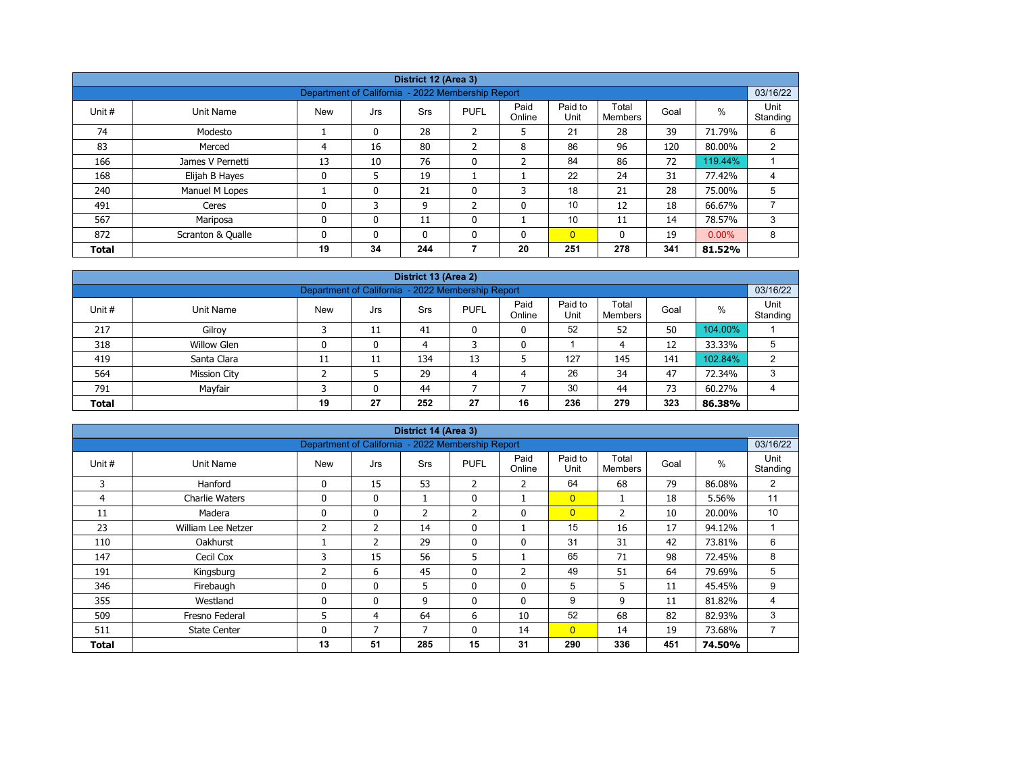| District 12 (Area 3)                                                                   |                   |                                                   |              |            |                |                |                 |                  |      |          |                  |  |  |
|----------------------------------------------------------------------------------------|-------------------|---------------------------------------------------|--------------|------------|----------------|----------------|-----------------|------------------|------|----------|------------------|--|--|
|                                                                                        |                   |                                                   |              |            |                |                |                 |                  |      |          |                  |  |  |
|                                                                                        |                   | Department of California - 2022 Membership Report |              |            |                |                |                 |                  |      |          | 03/16/22         |  |  |
| Unit #                                                                                 | Unit Name         | <b>New</b>                                        | Jrs          | <b>Srs</b> | <b>PUFL</b>    | Paid<br>Online | Paid to<br>Unit | Total<br>Members | Goal | %        | Unit<br>Standing |  |  |
| 74                                                                                     | Modesto           |                                                   | 0            | 28         | $\overline{2}$ | 5              | 21              | 28               | 39   | 71.79%   | 6                |  |  |
| 83<br>86<br>96<br>2<br>16<br>80<br>$\overline{2}$<br>8<br>120<br>80.00%<br>Merced<br>4 |                   |                                                   |              |            |                |                |                 |                  |      |          |                  |  |  |
| 166                                                                                    | James V Pernetti  | 13                                                | 10           | 76         | $\mathbf{0}$   | $\overline{2}$ | 84              | 86               | 72   | 119.44%  |                  |  |  |
| 168                                                                                    | Elijah B Hayes    | 0                                                 | 5            | 19         |                |                | 22              | 24               | 31   | 77.42%   | 4                |  |  |
| 240                                                                                    | Manuel M Lopes    |                                                   | $\mathbf{0}$ | 21         | 0              | 3              | 18              | 21               | 28   | 75.00%   | 5                |  |  |
| 491                                                                                    | Ceres             | 0                                                 | 3            | 9          | $\overline{2}$ | 0              | 10              | 12               | 18   | 66.67%   |                  |  |  |
| 567                                                                                    | Mariposa          | 0                                                 | $\mathbf{0}$ | 11         | $\mathbf 0$    |                | 10              | 11               | 14   | 78.57%   | 3                |  |  |
| 872                                                                                    | Scranton & Qualle | 0                                                 | $\Omega$     | 0          | $\Omega$       | 0              | $\overline{0}$  | $\mathbf{0}$     | 19   | $0.00\%$ | 8                |  |  |
| <b>Total</b>                                                                           |                   | 19                                                | 34           | 244        |                | 20             | 251             | 278              | 341  | 81.52%   |                  |  |  |

| District 13 (Area 2)                                                                                                                               |                                                      |    |    |     |    |    |     |     |     |         |   |  |  |  |
|----------------------------------------------------------------------------------------------------------------------------------------------------|------------------------------------------------------|----|----|-----|----|----|-----|-----|-----|---------|---|--|--|--|
| 03/16/22<br>Department of California - 2022 Membership Report                                                                                      |                                                      |    |    |     |    |    |     |     |     |         |   |  |  |  |
| Paid<br>Paid to<br>Total<br>$\%$<br>Unit#<br><b>New</b><br><b>PUFL</b><br>Unit Name<br>Goal<br>Srs<br>Jrs<br>Standing<br>Online<br>Unit<br>Members |                                                      |    |    |     |    |    |     |     |     |         |   |  |  |  |
| 217                                                                                                                                                | 52<br>52<br>50<br>104.00%<br>Gilroy<br>11<br>41<br>0 |    |    |     |    |    |     |     |     |         |   |  |  |  |
| 318                                                                                                                                                | <b>Willow Glen</b>                                   |    | 0  | 4   |    | 0  |     | 4   | 12  | 33.33%  | 5 |  |  |  |
| 419                                                                                                                                                | Santa Clara                                          | 11 | 11 | 134 | 13 |    | 127 | 145 | 141 | 102.84% | 2 |  |  |  |
| 564                                                                                                                                                | <b>Mission City</b>                                  |    |    | 29  | 4  | 4  | 26  | 34  | 47  | 72.34%  | 3 |  |  |  |
| Mayfair<br>30<br>73<br>791<br>44<br>44<br>60.27%<br>$\mathbf{0}$<br>4                                                                              |                                                      |    |    |     |    |    |     |     |     |         |   |  |  |  |
| <b>Total</b>                                                                                                                                       |                                                      | 19 | 27 | 252 | 27 | 16 | 236 | 279 | 323 | 86.38%  |   |  |  |  |

| District 14 (Area 3) |                       |                                                   |                |                |              |                |                 |                         |      |        |                  |  |  |
|----------------------|-----------------------|---------------------------------------------------|----------------|----------------|--------------|----------------|-----------------|-------------------------|------|--------|------------------|--|--|
|                      |                       | Department of California - 2022 Membership Report |                |                |              |                |                 |                         |      |        | 03/16/22         |  |  |
| Unit #               | Unit Name             | <b>New</b>                                        | Jrs            | <b>Srs</b>     | <b>PUFL</b>  | Paid<br>Online | Paid to<br>Unit | Total<br><b>Members</b> | Goal | %      | Unit<br>Standing |  |  |
| 3                    | Hanford               | $\mathbf{0}$                                      | 15             | 53             | 2            | $\overline{2}$ | 64              | 68                      | 79   | 86.08% | 2                |  |  |
| 4                    | <b>Charlie Waters</b> | 0                                                 | $\mathbf{0}$   | T              | 0            |                | $\overline{0}$  |                         | 18   | 5.56%  | 11               |  |  |
| 11                   | Madera                | 0                                                 | 0              | $\overline{2}$ | 2            | $\mathbf 0$    | $\overline{0}$  | $\overline{2}$          | 10   | 20.00% | 10               |  |  |
| 23                   | William Lee Netzer    | $\overline{2}$                                    | $\overline{2}$ | 14             | $\mathbf{0}$ |                | 15              | 16                      | 17   | 94.12% |                  |  |  |
| 110                  | Oakhurst              |                                                   | $\mathcal{P}$  | 29             | 0            | $\mathbf{0}$   | 31              | 31                      | 42   | 73.81% | 6                |  |  |
| 147                  | Cecil Cox             | 3                                                 | 15             | 56             | 5            |                | 65              | 71                      | 98   | 72.45% | 8                |  |  |
| 191                  | Kingsburg             | 2                                                 | 6              | 45             | $\mathbf{0}$ | $\overline{2}$ | 49              | 51                      | 64   | 79.69% | 5                |  |  |
| 346                  | Firebaugh             | 0                                                 | 0              | 5              | 0            | 0              | 5               | 5                       | 11   | 45.45% | 9                |  |  |
| 355                  | Westland              | 0                                                 | 0              | 9              | $\mathbf{0}$ | $\mathbf{0}$   | 9               | 9                       | 11   | 81.82% | 4                |  |  |
| 509                  | Fresno Federal        | 5                                                 | 4              | 64             | 6            | 10             | 52              | 68                      | 82   | 82.93% | 3                |  |  |
| 511                  | <b>State Center</b>   | 0                                                 | 7              | 7              | $\mathbf{0}$ | 14             | $\overline{0}$  | 14                      | 19   | 73.68% | 7                |  |  |
| <b>Total</b>         |                       | 13                                                | 51             | 285            | 15           | 31             | 290             | 336                     | 451  | 74.50% |                  |  |  |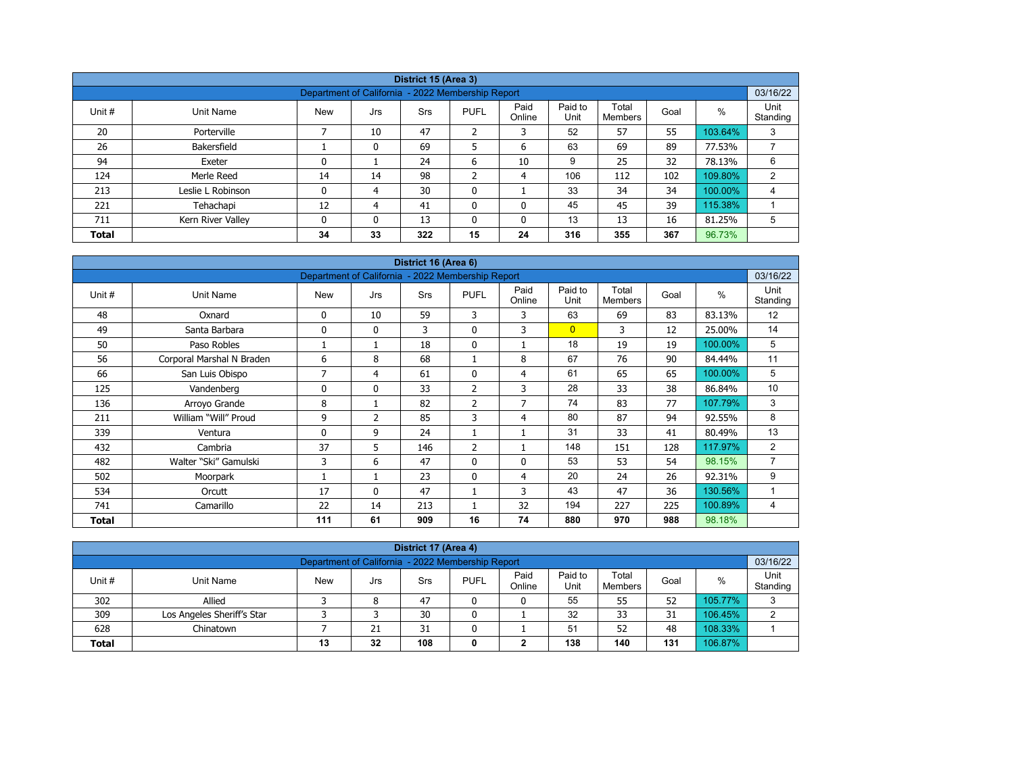|              |                   |                                                   |          | District 15 (Area 3) |                |                |                 |                  |      |         |                  |  |  |
|--------------|-------------------|---------------------------------------------------|----------|----------------------|----------------|----------------|-----------------|------------------|------|---------|------------------|--|--|
|              |                   | Department of California - 2022 Membership Report |          |                      |                |                |                 |                  |      |         | 03/16/22         |  |  |
| Unit #       | Unit Name         | <b>New</b>                                        | Jrs      | Srs                  | <b>PUFL</b>    | Paid<br>Online | Paid to<br>Unit | Total<br>Members | Goal | $\%$    | Unit<br>Standing |  |  |
| 20           | Porterville       |                                                   | 10       | 47                   | $\overline{2}$ | 3              | 52              | 57               | 55   | 103.64% | 3                |  |  |
| 26           | Bakersfield       |                                                   | 0        | 69                   | 5              | 6              | 63              | 69               | 89   | 77.53%  |                  |  |  |
| 94           | Exeter            | 0                                                 |          | 24                   | 6              | 10             | 9               | 25               | 32   | 78.13%  | 6                |  |  |
| 124          | Merle Reed        | 14                                                | 14       | 98                   | h              | 4              | 106             | 112              | 102  | 109.80% | 2                |  |  |
| 213          | Leslie L Robinson | 0                                                 | 4        | 30                   | $\mathbf 0$    |                | 33              | 34               | 34   | 100.00% | 4                |  |  |
| 221          | Tehachapi         | 12                                                | 4        | 41                   | $\mathbf{0}$   | 0              | 45              | 45               | 39   | 115.38% |                  |  |  |
| 711          | Kern River Valley | 0                                                 | $\Omega$ | 13                   | $\mathbf{0}$   | 0              | 13              | 13               | 16   | 81.25%  | 5                |  |  |
| <b>Total</b> |                   | 34                                                | 33       | 322                  | 15             | 24             | 316             | 355              | 367  | 96.73%  |                  |  |  |

| District 16 (Area 6) |                           |                                                   |              |     |                |                |                 |                         |      |         |                  |  |  |
|----------------------|---------------------------|---------------------------------------------------|--------------|-----|----------------|----------------|-----------------|-------------------------|------|---------|------------------|--|--|
|                      |                           | Department of California - 2022 Membership Report |              |     |                |                |                 |                         |      |         | 03/16/22         |  |  |
| Unit #               | Unit Name                 | <b>New</b>                                        | Jrs          | Srs | <b>PUFL</b>    | Paid<br>Online | Paid to<br>Unit | Total<br><b>Members</b> | Goal | $\%$    | Unit<br>Standing |  |  |
| 48                   | Oxnard                    | 0                                                 | 10           | 59  | 3              | 3              | 63              | 69                      | 83   | 83.13%  | 12               |  |  |
| 49                   | Santa Barbara             | $\mathbf 0$                                       | $\mathbf{0}$ | 3   | $\mathbf{0}$   | 3              | $\overline{0}$  | 3                       | 12   | 25.00%  | 14               |  |  |
| 50                   | Paso Robles               |                                                   | 1            | 18  | $\mathbf 0$    |                | 18              | 19                      | 19   | 100.00% | 5                |  |  |
| 56                   | Corporal Marshal N Braden | 6                                                 | 8            | 68  |                | 8              | 67              | 76                      | 90   | 84.44%  | 11               |  |  |
| 66                   | San Luis Obispo           | 7                                                 | 4            | 61  | $\mathbf{0}$   | 4              | 61              | 65                      | 65   | 100.00% | 5                |  |  |
| 125                  | Vandenberg                | 0                                                 | $\mathbf{0}$ | 33  | 2              | 3              | 28              | 33                      | 38   | 86.84%  | 10               |  |  |
| 136                  | Arroyo Grande             | 8                                                 | 1            | 82  | $\overline{2}$ | 7              | 74              | 83                      | 77   | 107.79% | 3                |  |  |
| 211                  | William "Will" Proud      | 9                                                 | 2            | 85  | 3              | 4              | 80              | 87                      | 94   | 92.55%  | 8                |  |  |
| 339                  | Ventura                   | 0                                                 | 9            | 24  |                |                | 31              | 33                      | 41   | 80.49%  | 13               |  |  |
| 432                  | Cambria                   | 37                                                | 5            | 146 | $\overline{2}$ |                | 148             | 151                     | 128  | 117.97% | 2                |  |  |
| 482                  | Walter "Ski" Gamulski     | 3                                                 | 6            | 47  | $\mathbf{0}$   | $\Omega$       | 53              | 53                      | 54   | 98.15%  | $\overline{7}$   |  |  |
| 502                  | Moorpark                  |                                                   | 1            | 23  | $\mathbf{0}$   | 4              | 20              | 24                      | 26   | 92.31%  | 9                |  |  |
| 534                  | Orcutt                    | 17                                                | $\mathbf{0}$ | 47  |                | 3              | 43              | 47                      | 36   | 130.56% |                  |  |  |
| 741                  | Camarillo                 | 22                                                | 14           | 213 |                | 32             | 194             | 227                     | 225  | 100.89% | 4                |  |  |
| <b>Total</b>         |                           | 111                                               | 61           | 909 | 16             | 74             | 880             | 970                     | 988  | 98.18%  |                  |  |  |

| District 17 (Area 4)                                                                                                                             |                                                     |  |  |    |   |  |    |    |    |         |   |  |  |
|--------------------------------------------------------------------------------------------------------------------------------------------------|-----------------------------------------------------|--|--|----|---|--|----|----|----|---------|---|--|--|
| 03/16/22<br>Department of California - 2022 Membership Report                                                                                    |                                                     |  |  |    |   |  |    |    |    |         |   |  |  |
| Paid<br>Paid to<br>Total<br>Unit #<br><b>PUFL</b><br>%<br><b>New</b><br>Goal<br>Unit Name<br>Srs<br>Jrs<br>Standing<br>Online<br>Unit<br>Members |                                                     |  |  |    |   |  |    |    |    |         |   |  |  |
| 302                                                                                                                                              | 55<br>55<br>52<br>105.77%<br>Allied<br>47<br>8<br>0 |  |  |    |   |  |    |    |    |         |   |  |  |
| 309                                                                                                                                              | Los Angeles Sheriff's Star                          |  |  | 30 | 0 |  | 32 | 33 | 31 | 106.45% | ົ |  |  |
| 108.33%<br>52<br>51<br>628<br>21<br>31<br>48<br>Chinatown                                                                                        |                                                     |  |  |    |   |  |    |    |    |         |   |  |  |
| 138<br>106.87%<br>108<br>131<br>32<br>140<br>13<br><b>Total</b><br>0                                                                             |                                                     |  |  |    |   |  |    |    |    |         |   |  |  |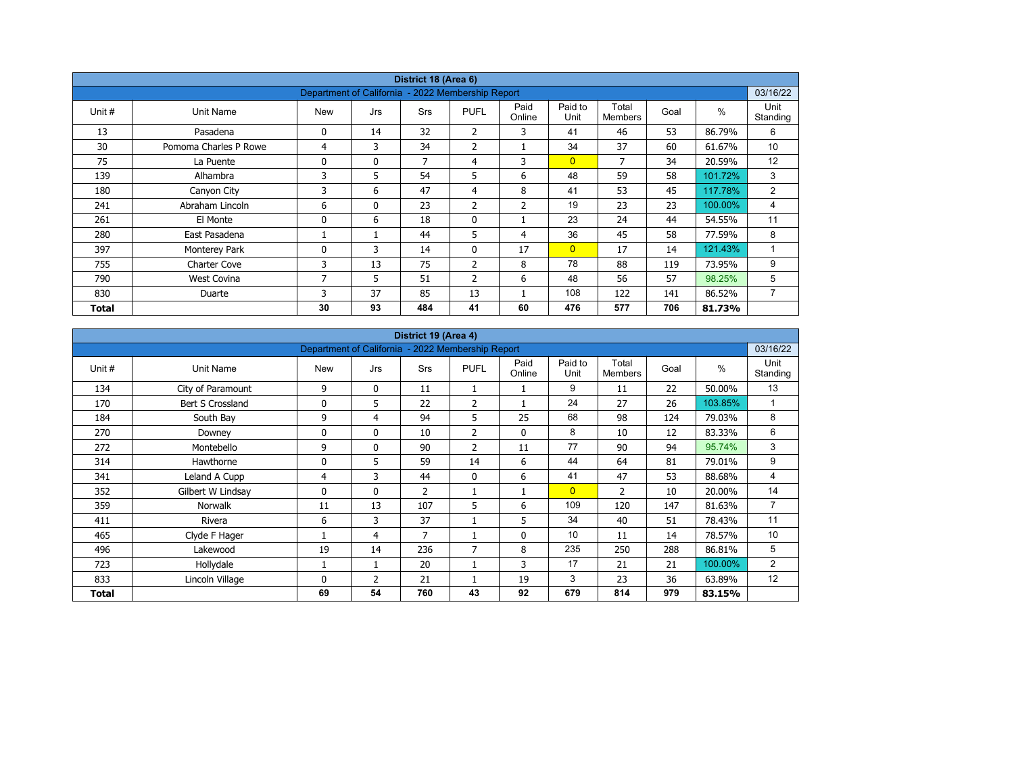| District 18 (Area 6) |                       |                                                   |              |            |                |                |                 |                         |      |               |                  |  |  |
|----------------------|-----------------------|---------------------------------------------------|--------------|------------|----------------|----------------|-----------------|-------------------------|------|---------------|------------------|--|--|
|                      |                       | Department of California - 2022 Membership Report |              |            |                |                |                 |                         |      |               | 03/16/22         |  |  |
| Unit #               | Unit Name             | <b>New</b>                                        | Jrs          | <b>Srs</b> | <b>PUFL</b>    | Paid<br>Online | Paid to<br>Unit | Total<br><b>Members</b> | Goal | $\frac{0}{0}$ | Unit<br>Standing |  |  |
| 13                   | Pasadena              | 0                                                 | 14           | 32         | 2              | 3              | 41              | 46                      | 53   | 86.79%        | 6                |  |  |
| 30                   | Pomoma Charles P Rowe | 4                                                 | 3            | 34         | 2              |                | 34              | 37                      | 60   | 61.67%        | 10               |  |  |
| 75                   | La Puente             | 0                                                 | $\mathbf{0}$ | 7          | 4              | 3              | $\overline{0}$  | 7                       | 34   | 20.59%        | 12               |  |  |
| 139                  | Alhambra              | 3                                                 | 5            | 54         | 5              | 6              | 48              | 59                      | 58   | 101.72%       | 3                |  |  |
| 180                  | Canyon City           | 3                                                 | 6            | 47         | $\overline{4}$ | 8              | 41              | 53                      | 45   | 117.78%       | 2                |  |  |
| 241                  | Abraham Lincoln       | 6                                                 | $\mathbf{0}$ | 23         | 2              | $\overline{2}$ | 19              | 23                      | 23   | 100.00%       | 4                |  |  |
| 261                  | El Monte              | 0                                                 | 6            | 18         | $\mathbf 0$    |                | 23              | 24                      | 44   | 54.55%        | 11               |  |  |
| 280                  | East Pasadena         |                                                   |              | 44         | 5              | 4              | 36              | 45                      | 58   | 77.59%        | 8                |  |  |
| 397                  | Monterey Park         | 0                                                 | 3            | 14         | $\mathbf{0}$   | 17             | $\overline{0}$  | 17                      | 14   | 121.43%       | 1                |  |  |
| 755                  | Charter Cove          | 3                                                 | 13           | 75         | $\overline{2}$ | 8              | 78              | 88                      | 119  | 73.95%        | 9                |  |  |
| 790                  | <b>West Covina</b>    | 7                                                 | 5            | 51         | $\overline{2}$ | 6              | 48              | 56                      | 57   | 98.25%        | 5                |  |  |
| 830                  | Duarte                | 3                                                 | 37           | 85         | 13             |                | 108             | 122                     | 141  | 86.52%        | 7                |  |  |
| Total                |                       | 30                                                | 93           | 484        | 41             | 60             | 476             | 577                     | 706  | 81.73%        |                  |  |  |

| District 19 (Area 4) |                   |                                                   |                |                |                |                |                 |                         |      |               |                  |  |  |
|----------------------|-------------------|---------------------------------------------------|----------------|----------------|----------------|----------------|-----------------|-------------------------|------|---------------|------------------|--|--|
|                      |                   | Department of California - 2022 Membership Report |                |                |                |                |                 |                         |      |               | 03/16/22         |  |  |
| Unit #               | Unit Name         | <b>New</b>                                        | Jrs            | Srs            | <b>PUFL</b>    | Paid<br>Online | Paid to<br>Unit | Total<br><b>Members</b> | Goal | $\frac{0}{0}$ | Unit<br>Standing |  |  |
| 134                  | City of Paramount | 9                                                 | $\mathbf{0}$   | 11             |                |                | 9               | 11                      | 22   | 50.00%        | 13               |  |  |
| 170                  | Bert S Crossland  | 0                                                 | 5              | 22             | $\overline{2}$ |                | 24              | 27                      | 26   | 103.85%       | 1                |  |  |
| 184                  | South Bay         | 9                                                 | $\overline{4}$ | 94             | 5              | 25             | 68              | 98                      | 124  | 79.03%        | 8                |  |  |
| 270                  | Downey            | 0                                                 | $\mathbf{0}$   | 10             | 2              | 0              | 8               | 10                      | 12   | 83.33%        | 6                |  |  |
| 272                  | Montebello        | 9                                                 | $\mathbf{0}$   | 90             | 2              | 11             | 77              | 90                      | 94   | 95.74%        | 3                |  |  |
| 314                  | Hawthorne         | 0                                                 | 5              | 59             | 14             | 6              | 44              | 64                      | 81   | 79.01%        | 9                |  |  |
| 341                  | Leland A Cupp     | 4                                                 | 3              | 44             | $\mathbf{0}$   | 6              | 41              | 47                      | 53   | 88.68%        | 4                |  |  |
| 352                  | Gilbert W Lindsay | 0                                                 | $\mathbf{0}$   | $\overline{2}$ |                | 1              | $\overline{0}$  | $\overline{2}$          | 10   | 20.00%        | 14               |  |  |
| 359                  | <b>Norwalk</b>    | 11                                                | 13             | 107            | 5              | 6              | 109             | 120                     | 147  | 81.63%        | $\overline{7}$   |  |  |
| 411                  | Rivera            | 6                                                 | 3              | 37             |                | 5              | 34              | 40                      | 51   | 78.43%        | 11               |  |  |
| 465                  | Clyde F Hager     |                                                   | 4              | 7              |                | 0              | 10              | 11                      | 14   | 78.57%        | 10               |  |  |
| 496                  | Lakewood          | 19                                                | 14             | 236            | $\overline{7}$ | 8              | 235             | 250                     | 288  | 86.81%        | 5                |  |  |
| 723                  | Hollydale         |                                                   | $\mathbf{1}$   | 20             |                | 3              | 17              | 21                      | 21   | 100.00%       | $\overline{2}$   |  |  |
| 833                  | Lincoln Village   | 0                                                 | $\overline{2}$ | 21             |                | 19             | 3               | 23                      | 36   | 63.89%        | 12               |  |  |
| Total                |                   | 69                                                | 54             | 760            | 43             | 92             | 679             | 814                     | 979  | 83.15%        |                  |  |  |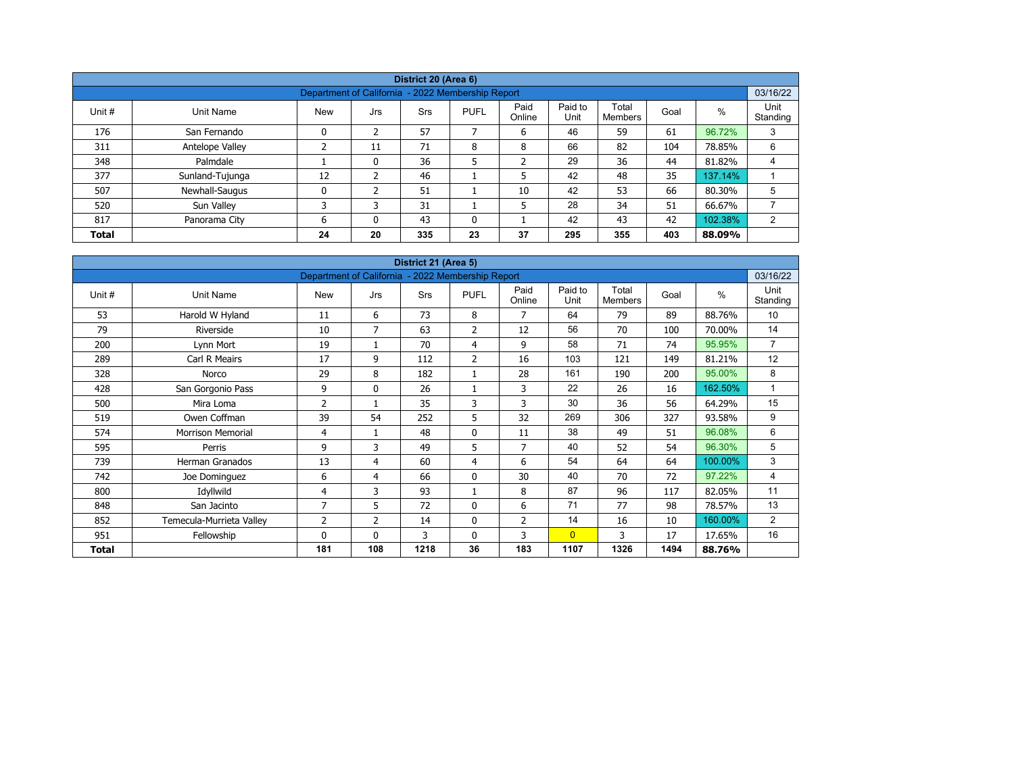| District 20 (Area 6) |                                                               |            |               |     |             |                |                 |                  |      |         |                  |  |  |  |  |
|----------------------|---------------------------------------------------------------|------------|---------------|-----|-------------|----------------|-----------------|------------------|------|---------|------------------|--|--|--|--|
|                      | 03/16/22<br>Department of California - 2022 Membership Report |            |               |     |             |                |                 |                  |      |         |                  |  |  |  |  |
| Unit #               | Unit Name                                                     | <b>New</b> | Jrs           | Srs | <b>PUFL</b> | Paid<br>Online | Paid to<br>Unit | Total<br>Members | Goal | $\%$    | Unit<br>Standing |  |  |  |  |
| 176                  | San Fernando                                                  | 0          | 2             | 57  |             | 6              | 46              | 59               | 61   | 96.72%  | 3                |  |  |  |  |
| 311                  | Antelope Valley                                               |            | 11            | 71  | 8           | 8              | 66              | 82               | 104  | 78.85%  | 6                |  |  |  |  |
| 348                  | Palmdale                                                      |            | 0             | 36  | 5           | ำ<br>∠         | 29              | 36               | 44   | 81.82%  | 4                |  |  |  |  |
| 377                  | Sunland-Tujunga                                               | 12         | $\mathcal{P}$ | 46  |             | 5              | 42              | 48               | 35   | 137.14% |                  |  |  |  |  |
| 507                  | Newhall-Saugus                                                | 0          |               | 51  |             | 10             | 42              | 53               | 66   | 80.30%  | 5                |  |  |  |  |
| 520                  | Sun Valley                                                    | 3          | 3             | 31  |             | 5              | 28              | 34               | 51   | 66.67%  |                  |  |  |  |  |
| 817                  | Panorama City                                                 | 6          | $\Omega$      | 43  | 0           |                | 42              | 43               | 42   | 102.38% | 2                |  |  |  |  |
| <b>Total</b>         |                                                               | 24         | 20            | 335 | 23          | 37             | 295             | 355              | 403  | 88.09%  |                  |  |  |  |  |

| District 21 (Area 5) |                          |                                                   |              |            |                |                |                 |                         |      |               |                  |  |  |
|----------------------|--------------------------|---------------------------------------------------|--------------|------------|----------------|----------------|-----------------|-------------------------|------|---------------|------------------|--|--|
|                      |                          | Department of California - 2022 Membership Report |              |            |                |                |                 |                         |      |               | 03/16/22         |  |  |
| Unit #               | <b>Unit Name</b>         | <b>New</b>                                        | Jrs          | <b>Srs</b> | <b>PUFL</b>    | Paid<br>Online | Paid to<br>Unit | Total<br><b>Members</b> | Goal | $\frac{0}{0}$ | Unit<br>Standing |  |  |
| 53                   | Harold W Hyland          | 11                                                | 6            | 73         | 8              | 7              | 64              | 79                      | 89   | 88.76%        | 10               |  |  |
| 79                   | Riverside                | 10                                                | 7            | 63         | 2              | 12             | 56              | 70                      | 100  | 70.00%        | 14               |  |  |
| 200                  | Lynn Mort                | 19                                                |              | 70         | 4              | 9              | 58              | 71                      | 74   | 95.95%        | $\overline{7}$   |  |  |
| 289                  | Carl R Meairs            | 17                                                | 9            | 112        | $\overline{2}$ | 16             | 103             | 121                     | 149  | 81.21%        | 12               |  |  |
| 328                  | Norco                    | 29                                                | 8            | 182        | 1              | 28             | 161             | 190                     | 200  | 95.00%        | 8                |  |  |
| 428                  | San Gorgonio Pass        | 9                                                 | $\mathbf{0}$ | 26         | 1              | 3              | 22              | 26                      | 16   | 162.50%       | 1                |  |  |
| 500                  | Mira Loma                | $\overline{2}$                                    |              | 35         | 3              | 3              | 30              | 36                      | 56   | 64.29%        | 15               |  |  |
| 519                  | Owen Coffman             | 39                                                | 54           | 252        | 5              | 32             | 269             | 306                     | 327  | 93.58%        | 9                |  |  |
| 574                  | <b>Morrison Memorial</b> | 4                                                 | $\mathbf{1}$ | 48         | $\mathbf 0$    | 11             | 38              | 49                      | 51   | 96.08%        | 6                |  |  |
| 595                  | Perris                   | 9                                                 | 3            | 49         | 5              | 7              | 40              | 52                      | 54   | 96.30%        | 5                |  |  |
| 739                  | <b>Herman Granados</b>   | 13                                                | 4            | 60         | 4              | 6              | 54              | 64                      | 64   | 100.00%       | 3                |  |  |
| 742                  | Joe Dominguez            | 6                                                 | 4            | 66         | $\mathbf 0$    | 30             | 40              | 70                      | 72   | 97.22%        | 4                |  |  |
| 800                  | Idyllwild                | 4                                                 | 3            | 93         | $\mathbf{1}$   | 8              | 87              | 96                      | 117  | 82.05%        | 11               |  |  |
| 848                  | San Jacinto              | $\overline{7}$                                    | 5            | 72         | $\mathbf 0$    | 6              | 71              | 77                      | 98   | 78.57%        | 13               |  |  |
| 852                  | Temecula-Murrieta Valley | 2                                                 | 2            | 14         | 0              | $\overline{2}$ | 14              | 16                      | 10   | 160.00%       | $\overline{2}$   |  |  |
| 951                  | Fellowship               | $\Omega$                                          | $\mathbf{0}$ | 3          | $\mathbf{0}$   | 3              | $\overline{0}$  | 3                       | 17   | 17.65%        | 16               |  |  |
| Total                |                          | 181                                               | 108          | 1218       | 36             | 183            | 1107            | 1326                    | 1494 | 88.76%        |                  |  |  |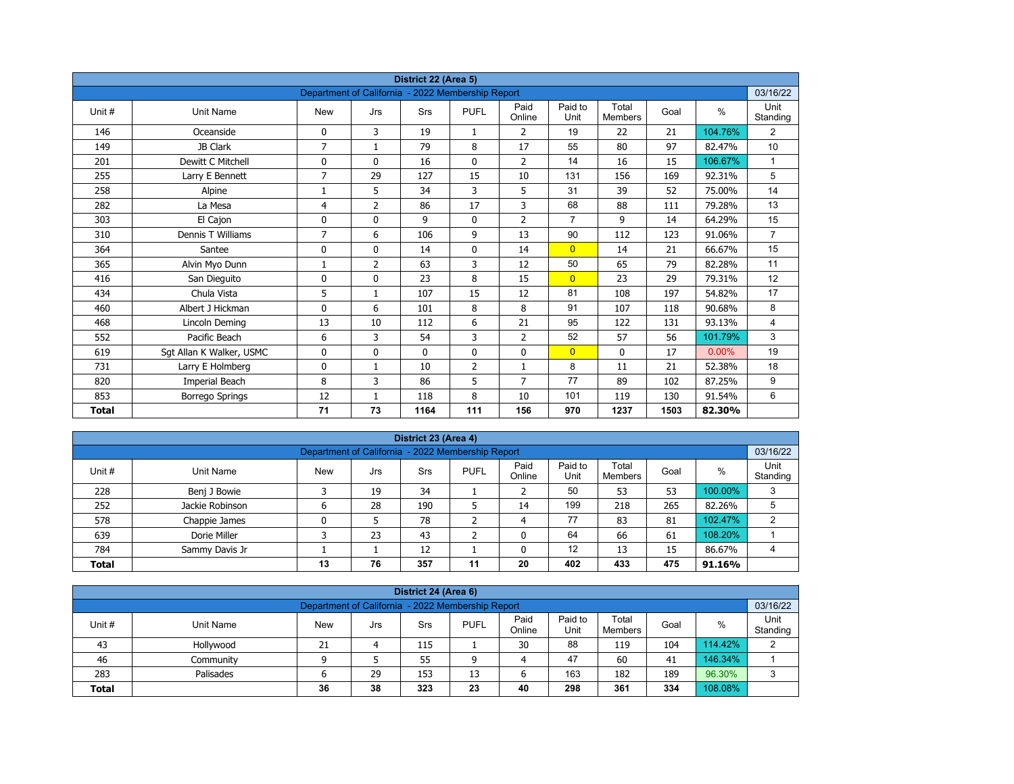| District 22 (Area 5) |                          |                                                   |                |             |                |                |                 |                         |      |          |                  |  |  |
|----------------------|--------------------------|---------------------------------------------------|----------------|-------------|----------------|----------------|-----------------|-------------------------|------|----------|------------------|--|--|
|                      |                          | Department of California - 2022 Membership Report |                |             |                |                |                 |                         |      |          | 03/16/22         |  |  |
| Unit#                | <b>Unit Name</b>         | <b>New</b>                                        | Jrs            | Srs         | <b>PUFL</b>    | Paid<br>Online | Paid to<br>Unit | Total<br><b>Members</b> | Goal | $\%$     | Unit<br>Standing |  |  |
| 146                  | Oceanside                | 0                                                 | 3              | 19          | $\mathbf{1}$   | 2              | 19              | 22                      | 21   | 104.76%  | 2                |  |  |
| 149                  | JB Clark                 | $\overline{7}$                                    | $\mathbf{1}$   | 79          | 8              | 17             | 55              | 80                      | 97   | 82.47%   | 10               |  |  |
| 201                  | Dewitt C Mitchell        | 0                                                 | $\mathbf{0}$   | 16          | $\mathbf{0}$   | $\overline{2}$ | 14              | 16                      | 15   | 106.67%  | $\mathbf{1}$     |  |  |
| 255                  | Larry E Bennett          | $\overline{7}$                                    | 29             | 127         | 15             | 10             | 131             | 156                     | 169  | 92.31%   | 5                |  |  |
| 258                  | Alpine                   | 1                                                 | 5              | 34          | 3              | 5              | 31              | 39                      | 52   | 75.00%   | 14               |  |  |
| 282                  | La Mesa                  | 4                                                 | $\overline{2}$ | 86          | 17             | 3              | 68              | 88                      | 111  | 79.28%   | 13               |  |  |
| 303                  | El Cajon                 | 0                                                 | 0              | 9           | $\mathbf 0$    | $\overline{2}$ | $\overline{7}$  | 9                       | 14   | 64.29%   | 15               |  |  |
| 310                  | Dennis T Williams        | 7                                                 | 6              | 106         | 9              | 13             | 90              | 112                     | 123  | 91.06%   | $\overline{7}$   |  |  |
| 364                  | Santee                   | 0                                                 | 0              | 14          | $\mathbf 0$    | 14             | $\overline{0}$  | 14                      | 21   | 66.67%   | 15               |  |  |
| 365                  | Alvin Myo Dunn           | 1                                                 | $\overline{2}$ | 63          | 3              | 12             | 50              | 65                      | 79   | 82.28%   | 11               |  |  |
| 416                  | San Dieguito             | 0                                                 | $\Omega$       | 23          | 8              | 15             | $\overline{0}$  | 23                      | 29   | 79.31%   | 12               |  |  |
| 434                  | Chula Vista              | 5                                                 | $\mathbf{1}$   | 107         | 15             | 12             | 81              | 108                     | 197  | 54.82%   | 17               |  |  |
| 460                  | Albert J Hickman         | 0                                                 | 6              | 101         | 8              | 8              | 91              | 107                     | 118  | 90.68%   | 8                |  |  |
| 468                  | Lincoln Deming           | 13                                                | 10             | 112         | 6              | 21             | 95              | 122                     | 131  | 93.13%   | $\overline{4}$   |  |  |
| 552                  | Pacific Beach            | 6                                                 | 3              | 54          | 3              | $\overline{2}$ | 52              | 57                      | 56   | 101.79%  | 3                |  |  |
| 619                  | Sgt Allan K Walker, USMC | 0                                                 | 0              | $\mathbf 0$ | $\mathbf 0$    | 0              | $\overline{0}$  | 0                       | 17   | $0.00\%$ | 19               |  |  |
| 731                  | Larry E Holmberg         | 0                                                 | $\mathbf{1}$   | 10          | $\overline{2}$ | $\mathbf{1}$   | 8               | 11                      | 21   | 52.38%   | 18               |  |  |
| 820                  | Imperial Beach           | 8                                                 | 3              | 86          | 5              | 7              | 77              | 89                      | 102  | 87.25%   | 9                |  |  |
| 853                  | <b>Borrego Springs</b>   | 12                                                | 1              | 118         | 8              | 10             | 101             | 119                     | 130  | 91.54%   | 6                |  |  |
| <b>Total</b>         |                          | 71                                                | 73             | 1164        | 111            | 156            | 970             | 1237                    | 1503 | 82.30%   |                  |  |  |

| District 23 (Area 4) |                                                               |            |     |            |             |                |                 |                  |      |         |                  |  |  |  |  |
|----------------------|---------------------------------------------------------------|------------|-----|------------|-------------|----------------|-----------------|------------------|------|---------|------------------|--|--|--|--|
|                      | 03/16/22<br>Department of California - 2022 Membership Report |            |     |            |             |                |                 |                  |      |         |                  |  |  |  |  |
| Unit #               | Unit Name                                                     | <b>New</b> | Jrs | <b>Srs</b> | <b>PUFL</b> | Paid<br>Online | Paid to<br>Unit | Total<br>Members | Goal | %       | Unit<br>Standing |  |  |  |  |
| 228                  | Benj J Bowie                                                  |            | 19  | 34         |             |                | 50              | 53               | 53   | 100.00% | 3                |  |  |  |  |
| 252                  | Jackie Robinson                                               | ь          | 28  | 190        |             | 14             | 199             | 218              | 265  | 82.26%  | 5                |  |  |  |  |
| 578                  | Chappie James                                                 | 0          |     | 78         |             | 4              | 77              | 83               | 81   | 102.47% | っ                |  |  |  |  |
| 639                  | Dorie Miller                                                  |            | 23  | 43         | ╮           | $\Omega$       | 64              | 66               | 61   | 108.20% |                  |  |  |  |  |
| 784                  | Sammy Davis Jr                                                |            |     | 12         |             |                | 12              | 13               | 15   | 86.67%  | 4                |  |  |  |  |
| <b>Total</b>         |                                                               | 13         | 76  | 357        | 11          | 20             | 402             | 433              | 475  | 91.16%  |                  |  |  |  |  |

|                                                                                                                                                         | District 24 (Area 6)                                          |    |    |     |    |    |     |     |     |         |                |  |  |  |  |
|---------------------------------------------------------------------------------------------------------------------------------------------------------|---------------------------------------------------------------|----|----|-----|----|----|-----|-----|-----|---------|----------------|--|--|--|--|
|                                                                                                                                                         | 03/16/22<br>Department of California - 2022 Membership Report |    |    |     |    |    |     |     |     |         |                |  |  |  |  |
| Paid<br>Paid to<br>Total<br>Unit #<br><b>PUFL</b><br>%<br>Goal<br>Unit Name<br><b>New</b><br><b>Srs</b><br>Jrs<br>Standing<br>Online<br>Unit<br>Members |                                                               |    |    |     |    |    |     |     |     |         |                |  |  |  |  |
| 43                                                                                                                                                      | Hollywood                                                     | 21 |    | 115 |    | 30 | 88  | 119 | 104 | 114.42% | $\overline{2}$ |  |  |  |  |
| 46                                                                                                                                                      | Community                                                     |    |    | 55  | a  | 4  | 47  | 60  | 41  | 146.34% |                |  |  |  |  |
| 283                                                                                                                                                     | Palisades                                                     | ס  | 29 | 153 | 13 | 6  | 163 | 182 | 189 | 96.30%  | Ω              |  |  |  |  |
| 298<br>108.08%<br>38<br>323<br>334<br>23<br>361<br>40<br>36<br><b>Total</b>                                                                             |                                                               |    |    |     |    |    |     |     |     |         |                |  |  |  |  |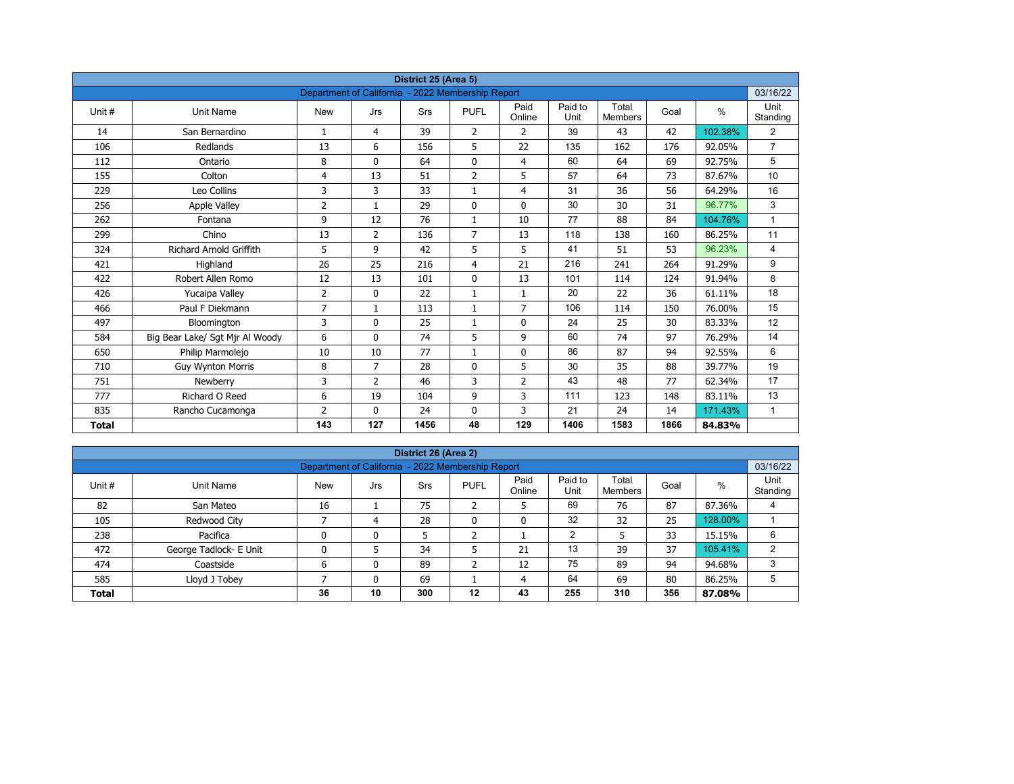| District 25 (Area 5) |                                 |                                                   |                |            |                |                |                 |                         |      |         |                  |  |  |
|----------------------|---------------------------------|---------------------------------------------------|----------------|------------|----------------|----------------|-----------------|-------------------------|------|---------|------------------|--|--|
|                      |                                 | Department of California - 2022 Membership Report |                |            |                |                |                 |                         |      |         | 03/16/22         |  |  |
| Unit#                | <b>Unit Name</b>                | <b>New</b>                                        | Jrs            | <b>Srs</b> | <b>PUFL</b>    | Paid<br>Online | Paid to<br>Unit | Total<br><b>Members</b> | Goal | $\%$    | Unit<br>Standing |  |  |
| 14                   | San Bernardino                  | $\mathbf{1}$                                      | 4              | 39         | $\overline{2}$ | $\overline{2}$ | 39              | 43                      | 42   | 102.38% | $\overline{2}$   |  |  |
| 106                  | Redlands                        | 13                                                | 6              | 156        | 5              | 22             | 135             | 162                     | 176  | 92.05%  | $\overline{7}$   |  |  |
| 112                  | Ontario                         | 8                                                 | $\Omega$       | 64         | $\mathbf 0$    | $\overline{4}$ | 60              | 64                      | 69   | 92.75%  | 5                |  |  |
| 155                  | Colton                          | 4                                                 | 13             | 51         | $\overline{2}$ | 5              | 57              | 64                      | 73   | 87.67%  | 10               |  |  |
| 229                  | Leo Collins                     | 3                                                 | 3              | 33         | $\mathbf{1}$   | $\overline{4}$ | 31              | 36                      | 56   | 64.29%  | 16               |  |  |
| 256                  | <b>Apple Valley</b>             | $\overline{2}$                                    | $\mathbf{1}$   | 29         | $\mathbf{0}$   | $\mathbf{0}$   | 30              | 30                      | 31   | 96.77%  | 3                |  |  |
| 262                  | Fontana                         | 9                                                 | 12             | 76         | $\mathbf{1}$   | 10             | 77              | 88                      | 84   | 104.76% | $\mathbf{1}$     |  |  |
| 299                  | Chino                           | 13                                                | $\overline{2}$ | 136        | $\overline{7}$ | 13             | 118             | 138                     | 160  | 86.25%  | 11               |  |  |
| 324                  | <b>Richard Arnold Griffith</b>  | 5                                                 | 9              | 42         | 5              | 5              | 41              | 51                      | 53   | 96.23%  | 4                |  |  |
| 421                  | Highland                        | 26                                                | 25             | 216        | 4              | 21             | 216             | 241                     | 264  | 91.29%  | 9                |  |  |
| 422                  | Robert Allen Romo               | 12                                                | 13             | 101        | $\mathbf{0}$   | 13             | 101             | 114                     | 124  | 91.94%  | 8                |  |  |
| 426                  | Yucaipa Valley                  | $\overline{2}$                                    | 0              | 22         | $\mathbf{1}$   | $\mathbf{1}$   | 20              | 22                      | 36   | 61.11%  | 18               |  |  |
| 466                  | Paul F Diekmann                 | $\overline{7}$                                    | $\mathbf{1}$   | 113        | $\mathbf{1}$   | $\overline{7}$ | 106             | 114                     | 150  | 76.00%  | 15               |  |  |
| 497                  | Bloomington                     | 3                                                 | 0              | 25         | $\mathbf{1}$   | $\mathbf 0$    | 24              | 25                      | 30   | 83.33%  | 12               |  |  |
| 584                  | Big Bear Lake/ Sgt Mjr Al Woody | 6                                                 | $\mathbf{0}$   | 74         | 5              | 9              | 60              | 74                      | 97   | 76.29%  | 14               |  |  |
| 650                  | Philip Marmolejo                | 10                                                | 10             | 77         | $\mathbf{1}$   | $\mathbf 0$    | 86              | 87                      | 94   | 92.55%  | 6                |  |  |
| 710                  | <b>Guy Wynton Morris</b>        | 8                                                 | $\overline{7}$ | 28         | $\mathbf{0}$   | 5              | 30              | 35                      | 88   | 39.77%  | 19               |  |  |
| 751                  | Newberry                        | 3                                                 | $\overline{2}$ | 46         | 3              | $\overline{2}$ | 43              | 48                      | 77   | 62.34%  | 17               |  |  |
| 777                  | Richard O Reed                  | 6                                                 | 19             | 104        | 9              | 3              | 111             | 123                     | 148  | 83.11%  | 13               |  |  |
| 835                  | Rancho Cucamonga                | $\overline{2}$                                    | $\mathbf{0}$   | 24         | 0              | 3              | 21              | 24                      | 14   | 171.43% | $\mathbf{1}$     |  |  |
| <b>Total</b>         |                                 | 143                                               | 127            | 1456       | 48             | 129            | 1406            | 1583                    | 1866 | 84.83%  |                  |  |  |

| District 26 (Area 2) |                                                               |            |     |     |              |                |                 |                         |      |         |                  |  |  |  |  |
|----------------------|---------------------------------------------------------------|------------|-----|-----|--------------|----------------|-----------------|-------------------------|------|---------|------------------|--|--|--|--|
|                      | 03/16/22<br>Department of California - 2022 Membership Report |            |     |     |              |                |                 |                         |      |         |                  |  |  |  |  |
| Unit #               | Unit Name                                                     | <b>New</b> | Jrs | Srs | <b>PUFL</b>  | Paid<br>Online | Paid to<br>Unit | Total<br><b>Members</b> | Goal | %       | Unit<br>Standing |  |  |  |  |
| 82                   | San Mateo                                                     | 16         |     | 75  | h<br>∠       | כ              | 69              | 76                      | 87   | 87.36%  | 4                |  |  |  |  |
| 105                  | Redwood City                                                  |            | 4   | 28  | $\mathbf{0}$ | 0              | 32              | 32                      | 25   | 128.00% |                  |  |  |  |  |
| 238                  | Pacifica                                                      | 0          | 0   | 5   | h            |                | 2               |                         | 33   | 15.15%  | 6                |  |  |  |  |
| 472                  | George Tadlock- E Unit                                        | 0          |     | 34  |              | 21             | 13              | 39                      | 37   | 105.41% | 2                |  |  |  |  |
| 474                  | Coastside                                                     | 6          | 0   | 89  | ำ<br>∠       | 12             | 75              | 89                      | 94   | 94.68%  | 3                |  |  |  |  |
| 585                  | Lloyd J Tobey                                                 |            | 0   | 69  |              | 4              | 64              | 69                      | 80   | 86.25%  | 5                |  |  |  |  |
| <b>Total</b>         |                                                               | 36         | 10  | 300 | $12 \,$      | 43             | 255             | 310                     | 356  | 87.08%  |                  |  |  |  |  |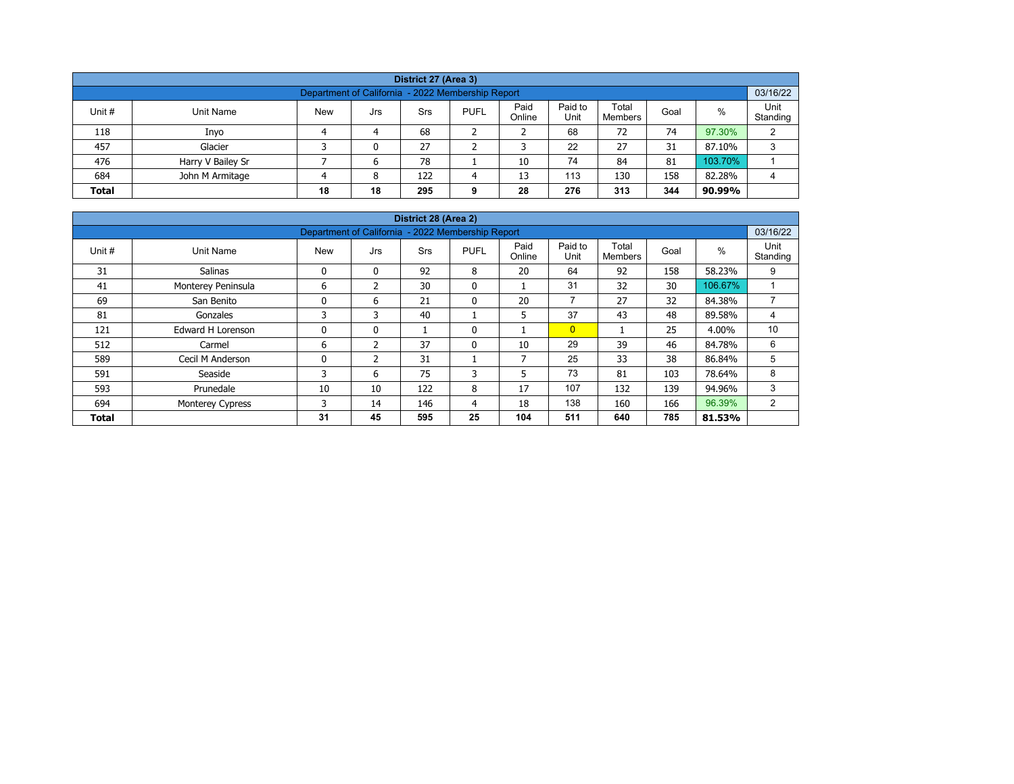| District 27 (Area 3)                                                                                                                                    |                   |  |   |     |   |    |     |     |     |         |   |  |  |  |
|---------------------------------------------------------------------------------------------------------------------------------------------------------|-------------------|--|---|-----|---|----|-----|-----|-----|---------|---|--|--|--|
| Department of California - 2022 Membership Report                                                                                                       |                   |  |   |     |   |    |     |     |     |         |   |  |  |  |
| Paid to<br>Paid<br>Total<br>%<br>Unit #<br><b>New</b><br><b>PUFL</b><br>Unit Name<br>Srs<br>Goal<br>Jrs<br>Unit<br>Online<br>Standing<br><b>Members</b> |                   |  |   |     |   |    |     |     |     |         |   |  |  |  |
| 118                                                                                                                                                     | Inyo              |  | 4 | 68  |   |    | 68  | 72  | 74  | 97.30%  | C |  |  |  |
| 457                                                                                                                                                     | Glacier           |  | 0 | 27  |   |    | 22  | 27  | 31  | 87.10%  | 3 |  |  |  |
| 476                                                                                                                                                     | Harry V Bailey Sr |  | 6 | 78  |   | 10 | 74  | 84  | 81  | 103.70% |   |  |  |  |
| 684                                                                                                                                                     | John M Armitage   |  | 8 | 122 | Δ | 13 | 113 | 130 | 158 | 82.28%  | 4 |  |  |  |
| 18<br>344<br>276<br>313<br>28<br><b>Total</b><br>18<br>295<br>90.99%<br>9                                                                               |                   |  |   |     |   |    |     |     |     |         |   |  |  |  |

| District 28 (Area 2) |                          |                                                   |                |            |              |                |                 |                         |      |         |                  |  |  |  |
|----------------------|--------------------------|---------------------------------------------------|----------------|------------|--------------|----------------|-----------------|-------------------------|------|---------|------------------|--|--|--|
|                      |                          | Department of California - 2022 Membership Report |                |            |              |                |                 |                         |      |         | 03/16/22         |  |  |  |
| Unit #               | Unit Name                | <b>New</b>                                        | Jrs            | <b>Srs</b> | <b>PUFL</b>  | Paid<br>Online | Paid to<br>Unit | Total<br><b>Members</b> | Goal | $\%$    | Unit<br>Standing |  |  |  |
| 31                   | Salinas                  | 0                                                 | 0              | 92         | 8            | 20             | 64              | 92                      | 158  | 58.23%  | 9                |  |  |  |
| 41                   | Monterey Peninsula       | 6                                                 | 2              | 30         | $\mathbf{0}$ |                | 31              | 32                      | 30   | 106.67% |                  |  |  |  |
| 69                   | San Benito               | 0                                                 | 6              | 21         | $\mathbf{0}$ | 20             | $\overline{ }$  | 27                      | 32   | 84.38%  | $\overline{7}$   |  |  |  |
| 81                   | Gonzales                 | 3                                                 | 3              | 40         |              | 5              | 37              | 43                      | 48   | 89.58%  | 4                |  |  |  |
| 121                  | <b>Edward H Lorenson</b> | 0                                                 | 0              |            | 0            |                | $\overline{0}$  |                         | 25   | 4.00%   | 10               |  |  |  |
| 512                  | Carmel                   | 6                                                 | $\overline{2}$ | 37         | $\mathbf{0}$ | 10             | 29              | 39                      | 46   | 84.78%  | 6                |  |  |  |
| 589                  | Cecil M Anderson         | 0                                                 | 2              | 31         |              | 7              | 25              | 33                      | 38   | 86.84%  | 5                |  |  |  |
| 591                  | Seaside                  | 3                                                 | 6              | 75         | 3            | 5              | 73              | 81                      | 103  | 78.64%  | 8                |  |  |  |
| 593                  | Prunedale                | 10                                                | 10             | 122        | 8            | 17             | 107             | 132                     | 139  | 94.96%  | 3                |  |  |  |
| 694                  | <b>Monterey Cypress</b>  | 3                                                 | 14             | 146        | 4            | 18             | 138             | 160                     | 166  | 96.39%  | 2                |  |  |  |
| <b>Total</b>         |                          | 31                                                | 45             | 595        | 25           | 104            | 511             | 640                     | 785  | 81.53%  |                  |  |  |  |